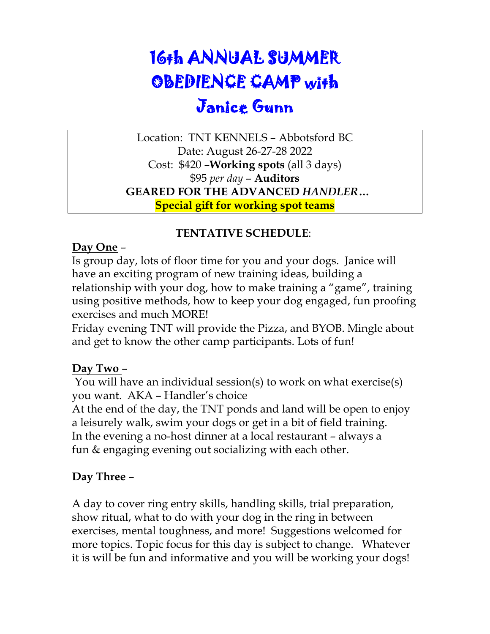## 16th ANNUAL SUMMER OBEDIENCE CAMP with Janice Gunn

Location: TNT KENNELS – Abbotsford BC Date: August 26-27-28 2022 Cost: \$420 –**Working spots** (all 3 days) \$95 *per day* – **Auditors GEARED FOR THE ADVANCED** *HANDLER***… Special gift for working spot teams**

#### **TENTATIVE SCHEDULE**:

#### **Day One** –

Is group day, lots of floor time for you and your dogs. Janice will have an exciting program of new training ideas, building a relationship with your dog, how to make training a "game", training using positive methods, how to keep your dog engaged, fun proofing exercises and much MORE!

Friday evening TNT will provide the Pizza, and BYOB. Mingle about and get to know the other camp participants. Lots of fun!

#### **Day Two** –

You will have an individual session(s) to work on what exercise(s) you want. AKA – Handler's choice

At the end of the day, the TNT ponds and land will be open to enjoy a leisurely walk, swim your dogs or get in a bit of field training. In the evening a no-host dinner at a local restaurant – always a fun & engaging evening out socializing with each other.

#### **Day Three** –

A day to cover ring entry skills, handling skills, trial preparation, show ritual, what to do with your dog in the ring in between exercises, mental toughness, and more! Suggestions welcomed for more topics. Topic focus for this day is subject to change. Whatever it is will be fun and informative and you will be working your dogs!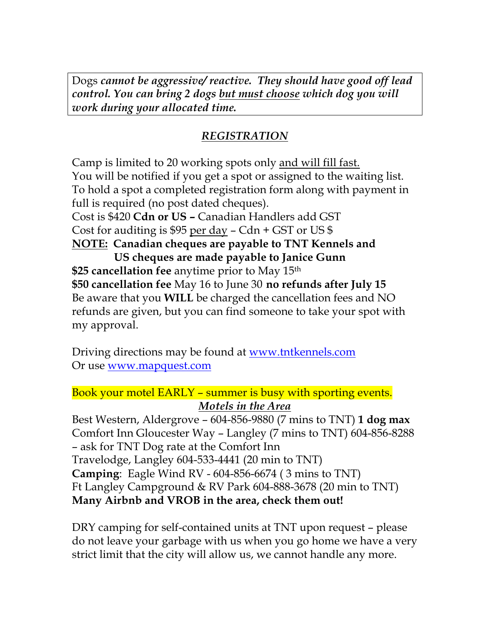Dogs *cannot be aggressive/ reactive. They should have good off lead control. You can bring 2 dogs but must choose which dog you will work during your allocated time.*

### *REGISTRATION*

Camp is limited to 20 working spots only and will fill fast. You will be notified if you get a spot or assigned to the waiting list. To hold a spot a completed registration form along with payment in full is required (no post dated cheques). Cost is \$420 **Cdn or US –** Canadian Handlers add GST Cost for auditing is \$95 per day – Cdn + GST or US \$ **NOTE: Canadian cheques are payable to TNT Kennels and US cheques are made payable to Janice Gunn \$25 cancellation fee** anytime prior to May 15th **\$50 cancellation fee** May 16 to June 30 **no refunds after July 15** Be aware that you **WILL** be charged the cancellation fees and NO refunds are given, but you can find someone to take your spot with my approval.

Driving directions may be found at www.tntkennels.com Or use www.mapquest.com

Book your motel EARLY – summer is busy with sporting events. *Motels in the Area*

Best Western, Aldergrove – 604-856-9880 (7 mins to TNT) **1 dog max** Comfort Inn Gloucester Way – Langley (7 mins to TNT) 604-856-8288 – ask for TNT Dog rate at the Comfort Inn Travelodge, Langley 604-533-4441 (20 min to TNT) **Camping**: Eagle Wind RV - 604-856-6674 ( 3 mins to TNT) Ft Langley Campground & RV Park 604-888-3678 (20 min to TNT) **Many Airbnb and VROB in the area, check them out!** 

DRY camping for self-contained units at TNT upon request – please do not leave your garbage with us when you go home we have a very strict limit that the city will allow us, we cannot handle any more.